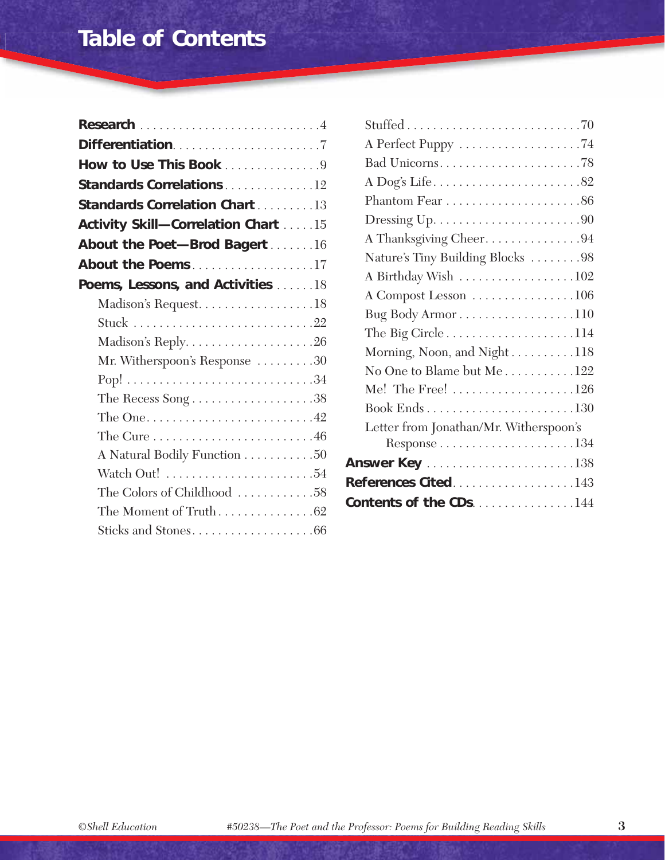## **Table of Contents**

| How to Use This Book 9                                              |  |
|---------------------------------------------------------------------|--|
| <b>Standards Correlations 12</b>                                    |  |
| <b>Standards Correlation Chart</b> 13                               |  |
| Activity Skill-Correlation Chart 15                                 |  |
| About the Poet-Brod Bagert 16                                       |  |
| About the Poems17                                                   |  |
| Poems, Lessons, and Activities 18                                   |  |
| Madison's Request18                                                 |  |
|                                                                     |  |
|                                                                     |  |
| Mr. Witherspoon's Response 30                                       |  |
|                                                                     |  |
| The Recess Song $\dots\dots\dots\dots\dots\dots38$                  |  |
| The One. $\dots \dots \dots \dots \dots \dots \dots \dots \dots 42$ |  |
| The Cure $\dots\dots\dots\dots\dots\dots\dots\dots.46$              |  |
| A Natural Bodily Function 50                                        |  |
|                                                                     |  |
| The Colors of Childhood 58                                          |  |
| The Moment of Truth62                                               |  |
| Sticks and Stones66                                                 |  |
|                                                                     |  |

| A Thanksgiving Cheer94                              |
|-----------------------------------------------------|
| Nature's Tiny Building Blocks 98                    |
| A Birthday Wish 102                                 |
| A Compost Lesson 106                                |
| Bug Body Armor110                                   |
| The Big Circle $\dots\dots\dots\dots\dots\dots 114$ |
| Morning, Noon, and Night118                         |
| No One to Blame but Me122                           |
| Me! The Free! $\dots\dots\dots\dots\dots\dots 126$  |
|                                                     |
| Letter from Jonathan/Mr. Witherspoon's              |
|                                                     |
|                                                     |
| <b>References Cited143</b>                          |
| <b>Contents of the CDs144</b>                       |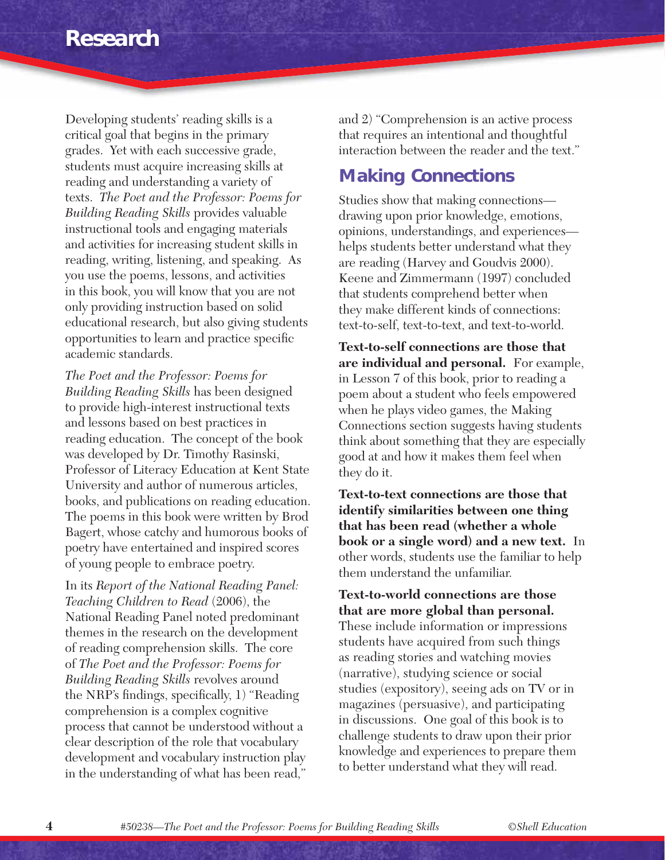Developing students' reading skills is a critical goal that begins in the primary grades. Yet with each successive grade, students must acquire increasing skills at reading and understanding a variety of texts. *The Poet and the Professor: Poems for Building Reading Skills* provides valuable instructional tools and engaging materials and activities for increasing student skills in reading, writing, listening, and speaking. As you use the poems, lessons, and activities in this book, you will know that you are not only providing instruction based on solid educational research, but also giving students opportunities to learn and practice specific academic standards.

*The Poet and the Professor: Poems for Building Reading Skills* has been designed to provide high-interest instructional texts and lessons based on best practices in reading education. The concept of the book was developed by Dr. Timothy Rasinski, Professor of Literacy Education at Kent State University and author of numerous articles, books, and publications on reading education. The poems in this book were written by Brod Bagert, whose catchy and humorous books of poetry have entertained and inspired scores of young people to embrace poetry.

In its *Report of the National Reading Panel: Teaching Children to Read* (2006), the National Reading Panel noted predominant themes in the research on the development of reading comprehension skills. The core of *The Poet and the Professor: Poems for Building Reading Skills* revolves around the NRP's findings, specifically,  $1$ ) "Reading comprehension is a complex cognitive process that cannot be understood without a clear description of the role that vocabulary development and vocabulary instruction play in the understanding of what has been read,"

and 2) "Comprehension is an active process that requires an intentional and thoughtful interaction between the reader and the text."

#### **Making Connections**

Studies show that making connections drawing upon prior knowledge, emotions, opinions, understandings, and experiences helps students better understand what they are reading (Harvey and Goudvis 2000). Keene and Zimmermann (1997) concluded that students comprehend better when they make different kinds of connections: text-to-self, text-to-text, and text-to-world.

**Text-to-self connections are those that are individual and personal.** For example, in Lesson 7 of this book, prior to reading a poem about a student who feels empowered when he plays video games, the Making Connections section suggests having students think about something that they are especially good at and how it makes them feel when they do it.

**Text-to-text connections are those that identify similarities between one thing that has been read (whether a whole book or a single word) and a new text.** In other words, students use the familiar to help them understand the unfamiliar.

**Text-to-world connections are those that are more global than personal.**  These include information or impressions students have acquired from such things as reading stories and watching movies (narrative), studying science or social studies (expository), seeing ads on TV or in magazines (persuasive), and participating in discussions. One goal of this book is to challenge students to draw upon their prior knowledge and experiences to prepare them to better understand what they will read.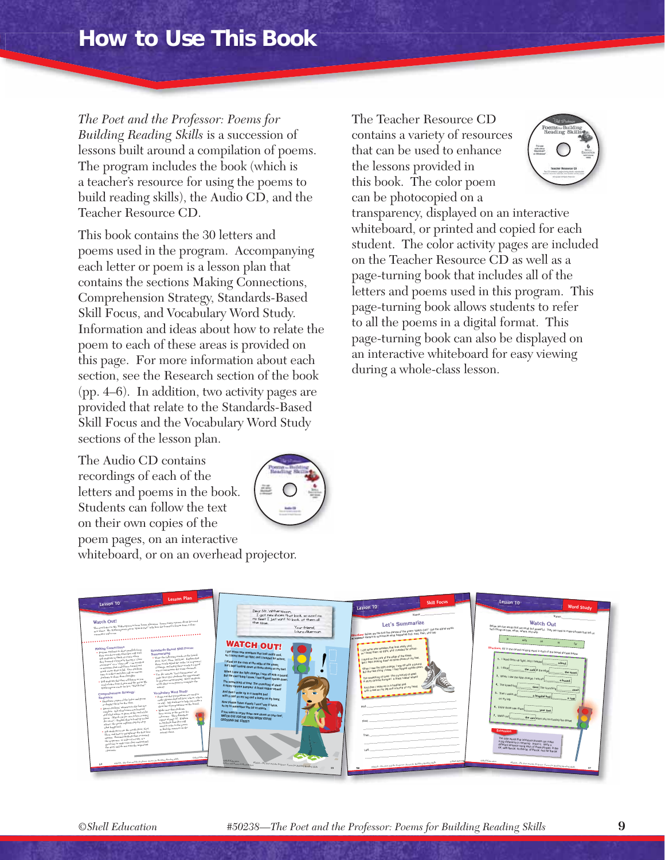*The Poet and the Professor: Poems for Building Reading Skills* is a succession of lessons built around a compilation of poems. The program includes the book (which is a teacher's resource for using the poems to build reading skills), the Audio CD, and the Teacher Resource CD.

This book contains the 30 letters and poems used in the program. Accompanying each letter or poem is a lesson plan that contains the sections Making Connections, Comprehension Strategy, Standards-Based Skill Focus, and Vocabulary Word Study. Information and ideas about how to relate the poem to each of these areas is provided on this page. For more information about each section, see the Research section of the book (pp. 4–6). In addition, two activity pages are provided that relate to the Standards-Based Skill Focus and the Vocabulary Word Study sections of the lesson plan.

The Audio CD contains recordings of each of the letters and poems in the book. Students can follow the text on their own copies of the poem pages, on an interactive whiteboard, or on an overhead projector.



The Teacher Resource CD contains a variety of resources that can be used to enhance the lessons provided in this book. The color poem can be photocopied on a



transparency, displayed on an interactive whiteboard, or printed and copied for each student. The color activity pages are included on the Teacher Resource CD as well as a page-turning book that includes all of the letters and poems used in this program. This page-turning book allows students to refer to all the poems in a digital format. This page-turning book can also be displayed on an interactive whiteboard for easy viewing during a whole-class lesson.

| Lesson Plan<br>Lesson 10<br>Watch Out!<br>The next letter to Mr. With<br>erspects is from Laura Alonetian. Laura wants a poem about her cool<br>new three. Mr. With<br>experiment power (Angle body in the learned alone a power spectrum), and<br>the learned a learned a learned from a close map. When the Collinson the<br>$\alpha$ close<br>encounter with a car.<br>Making Connections<br>Standards-Based Skill Focus:<br>$\bullet$ Propine students to draw parallels from<br>their cash lows with what they will read.<br>Summarizing<br>. Write the following words on the board:<br>Ask students to think of a time when<br>First, Next, Then, and Last. Explain that<br>they learned a lemon by having a "close<br>these words signal the ceder (or sequence)<br>$\sim$ carefulter" or a "close call"—as accelerated<br>of things, and using these words is a good<br>$_{\rm cc}$ situation that could have to<br>read out<br>much worse than it did. Give students<br>time to reflect and then call on various<br>$\bullet$ Use the activity "Let's Summarize" on<br>page 56 to give students the opportunity<br>students to share their thoughts.<br>$_{\rm{bo\,practive}}$ summarizing. Have students<br>. Tell students that they will listen as you<br>$r_{\rm work\;alome\;of\;in\;points\;to\;complete\;the}$<br>$_{\rm{mod}~{\rm{a~le}~ther~from~Lausra~and~the~perm~Mt.}}$<br>Witherspeen wrote for her, "Watch Out!"<br>activity.<br>Vocabulary Word Study<br>Comprehension Strategy:<br>Point out that prepositions are used to<br>make phrases that tell how, where, when,<br>Sequence<br>. Databate copies of the letter and poem<br>$\frac{1}{\alpha\tau}$ why. Ask students to help you using a<br>or deplay them for the class.<br>$\rm_{short}$ flat of prepositions on the board.<br>. Direct students' attention to the last two<br>. Make were that students<br>complete-Ask what leasen was learned<br>have access to the poem for<br>and what advice is given at the end of the<br>$_{\rm{reficiency}}$ Then distribute<br>poem. (Witch out for cars when crossing<br>copies of page 57. Explain<br>$\frac{1}{\hbar\hbar c\text{ }}stract$ ). Explain that so lead up to that<br>Bw your short sharpens or<br>$_{\rm adxkev,~the~power~explain}$ step-by-step<br>need to refer to the poem<br>what happened.<br>to find the answers on the<br>- Ask students to use the words First, Next,<br>so their sheet-<br>Then, and Lost to paraphrase the first four<br>stanzas. Bennind students that reviewing<br>the wegetnee, or order of events, is a<br>$\frac{1}{\text{good way to make use they undefined}}$<br>$\tilde{\eta}_{bc~\text{atory and do not make the important}}$<br>clements-<br>colul place<br>$0.0223 \mathrm{h} - 2 \mathrm{h} r \, \mathrm{For} \, \mathrm{End} \, \mathrm{d} r \, \mathrm{Perf} \, \mathrm{For} \, \mathrm{For} \, \mathrm{For} \, \mathrm{EuH} \, \mathrm{Eq} \, \mathrm{Eq} \, \mathrm{Eq} \, \mathrm{Eq} \, \mathrm{Eq} \, \mathrm{Eq} \, \mathrm{Eq} \, \mathrm{Eq} \, \mathrm{Eq} \, \mathrm{Eq} \, \mathrm{Eq} \, \mathrm{Eq} \, \mathrm{Eq} \, \mathrm{Eq} \, \mathrm{Eq} \, \mathrm{Eq} \, \mathrm{Eq} \, \mathrm{Eq} \, \mathrm{Eq} \, \mathrm{Eq} \$<br>54 | Dear Mr. Witherspoon,<br>I got new shoes that look so cool on<br>my feet I just want to look at them all<br>the time.<br>Your friend.<br>Lavra Akerman<br><b>WATCH OUT!</b><br>I got some new sneakers that look really cool.<br>so I looed them up tight, and I headed for school.<br>I stood on the curb at the edge of the street,<br>but I kept looking down at those shoes on my feet.<br>When I saw the light change, I was off with a bound,<br>But the next thing I knew, I had flipped upside down.<br>The screeching of tires! The crunching of steel!<br>A shiny chrome bumper! A black rubber wheel!<br>And then I woke up in a hospital bed<br>G<br>with a cast on my leg and a bump on my head.<br>Now please listen closely, I won't say it twice,<br>so try to remember this bit of advice.<br>If you want to enjoy those new shoes on your feet,<br>WATCH OUT FOR THE CARS WHEN YOU'RE<br>CROSSING THE STREET!<br><b>OSSAT Education</b><br>850236-The Post and the Professor: Powers for Building Presiding States<br>witness and Private O. Broad Book<br>5< | Skill Focus<br>Lesson 10 <sup>1</sup><br>Let's Summarize<br>Directions: Below are the first five starting of the poem "Watch Outl" Use the signal words<br>in sections section of the time summarize of the pose to venture start, and last.<br>_______________<br>I got some new seealers that look really cool,<br>yo I laced them up tight, and I headed for school.<br>I stood on the curb at the edge of the street.<br>but I kept looking down at those shoes on my feet.<br>when I saw the light change, I was off with a bound.<br>But the next thing I know I had flipped upside down<br>The screeding of rired. The crunching of seem<br>A shiny chrome bumper! A black rubber wheel!<br>And then I woke up in a hospital bed<br>with a cast on my key and a bump on my head.<br><b>____________</b><br>CSVS Education<br>\$50235-7% For and the Professor Preset for Building Boading Shifts | Lesson 10<br><b>Word Study</b><br>Watch Out<br>Below are five words that are small but powerful. They are used to make phrases that tell us<br>with.<br>on<br>Directions: Fill in the correct missing word in each of the boxed phrases below.<br>1. I laced them up tight, and I headed<br>the curb is the ediy<br>the street<br>3. When I saw the light change, I was on<br>a bound<br>4. The screening<br>he crunching<br>steal<br>5. Then I woke up<br>had latitude -<br>on my leg.<br>a cast<br>6. Enjoy those new shoes<br>7. Watch out<br>the cars when you're crossing the street<br><b>Extension</b><br>The little words that introduce phrases can make<br>a big difference in meaning. Prove it. Write a<br>different sentence using each of thise phrases: in the<br>car, with the car, on the car, of the car, and for the car,<br><b>CS-d'Education</b><br>$\frac{450235-25\sigma\text{.} The Part and the Pagleses, From for Rudlog(Recall) for Rudlog(2005).}$<br>57 |
|------------------------------------------------------------------------------------------------------------------------------------------------------------------------------------------------------------------------------------------------------------------------------------------------------------------------------------------------------------------------------------------------------------------------------------------------------------------------------------------------------------------------------------------------------------------------------------------------------------------------------------------------------------------------------------------------------------------------------------------------------------------------------------------------------------------------------------------------------------------------------------------------------------------------------------------------------------------------------------------------------------------------------------------------------------------------------------------------------------------------------------------------------------------------------------------------------------------------------------------------------------------------------------------------------------------------------------------------------------------------------------------------------------------------------------------------------------------------------------------------------------------------------------------------------------------------------------------------------------------------------------------------------------------------------------------------------------------------------------------------------------------------------------------------------------------------------------------------------------------------------------------------------------------------------------------------------------------------------------------------------------------------------------------------------------------------------------------------------------------------------------------------------------------------------------------------------------------------------------------------------------------------------------------------------------------------------------------------------------------------------------------------------------------------------------------------------------------------------------------------------------------------------------------------------------------------------------------------------------------------------------------------------------------------------------------------------------------------------------------------------------------------------------------------------------------------------------------------------------------------------------------------------------------------------------------------------------------------------------------------------------------------------------------------------------------------------------------------------------------------------------------------------------------------------------------------------------------------------------------|---------------------------------------------------------------------------------------------------------------------------------------------------------------------------------------------------------------------------------------------------------------------------------------------------------------------------------------------------------------------------------------------------------------------------------------------------------------------------------------------------------------------------------------------------------------------------------------------------------------------------------------------------------------------------------------------------------------------------------------------------------------------------------------------------------------------------------------------------------------------------------------------------------------------------------------------------------------------------------------------------------------------------------------------------------------------------------|---------------------------------------------------------------------------------------------------------------------------------------------------------------------------------------------------------------------------------------------------------------------------------------------------------------------------------------------------------------------------------------------------------------------------------------------------------------------------------------------------------------------------------------------------------------------------------------------------------------------------------------------------------------------------------------------------------------------------------------------------------------------------------------------------------------------------------------------------------------------------------------------------------|--------------------------------------------------------------------------------------------------------------------------------------------------------------------------------------------------------------------------------------------------------------------------------------------------------------------------------------------------------------------------------------------------------------------------------------------------------------------------------------------------------------------------------------------------------------------------------------------------------------------------------------------------------------------------------------------------------------------------------------------------------------------------------------------------------------------------------------------------------------------------------------------------------------------------------------------------------------------------------------|
|                                                                                                                                                                                                                                                                                                                                                                                                                                                                                                                                                                                                                                                                                                                                                                                                                                                                                                                                                                                                                                                                                                                                                                                                                                                                                                                                                                                                                                                                                                                                                                                                                                                                                                                                                                                                                                                                                                                                                                                                                                                                                                                                                                                                                                                                                                                                                                                                                                                                                                                                                                                                                                                                                                                                                                                                                                                                                                                                                                                                                                                                                                                                                                                                                                          |                                                                                                                                                                                                                                                                                                                                                                                                                                                                                                                                                                                                                                                                                                                                                                                                                                                                                                                                                                                                                                                                                 |                                                                                                                                                                                                                                                                                                                                                                                                                                                                                                                                                                                                                                                                                                                                                                                                                                                                                                         |                                                                                                                                                                                                                                                                                                                                                                                                                                                                                                                                                                                                                                                                                                                                                                                                                                                                                                                                                                                      |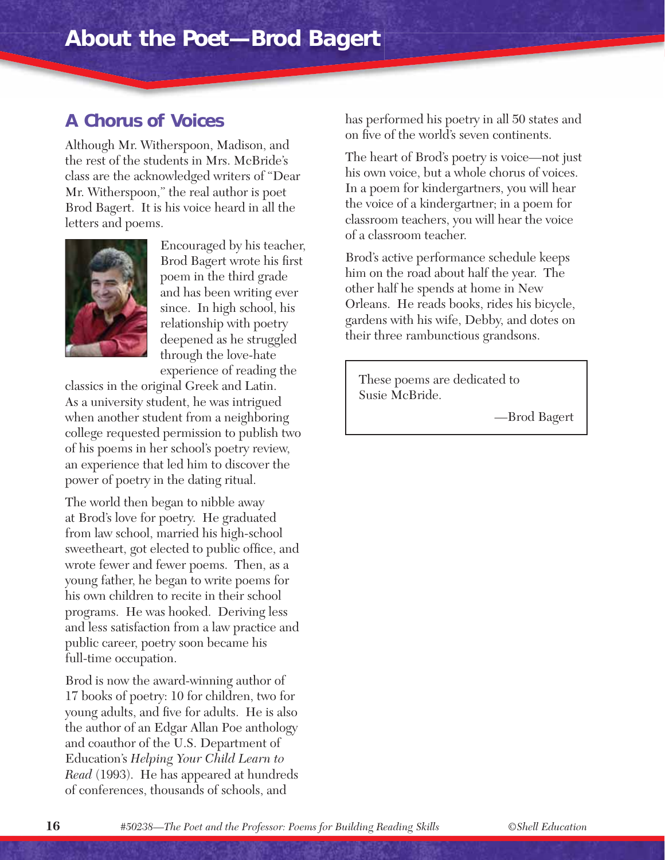#### **A Chorus of Voices**

Although Mr. Witherspoon, Madison, and the rest of the students in Mrs. McBride's class are the acknowledged writers of "Dear Mr. Witherspoon," the real author is poet Brod Bagert. It is his voice heard in all the letters and poems.



Encouraged by his teacher, Brod Bagert wrote his first poem in the third grade and has been writing ever since. In high school, his relationship with poetry deepened as he struggled through the love-hate experience of reading the

classics in the original Greek and Latin. As a university student, he was intrigued when another student from a neighboring college requested permission to publish two of his poems in her school's poetry review, an experience that led him to discover the power of poetry in the dating ritual.

The world then began to nibble away at Brod's love for poetry. He graduated from law school, married his high-school sweetheart, got elected to public office, and wrote fewer and fewer poems. Then, as a young father, he began to write poems for his own children to recite in their school programs. He was hooked. Deriving less and less satisfaction from a law practice and public career, poetry soon became his full-time occupation.

Brod is now the award-winning author of 17 books of poetry: 10 for children, two for young adults, and five for adults. He is also the author of an Edgar Allan Poe anthology and coauthor of the U.S. Department of Education's *Helping Your Child Learn to Read* (1993). He has appeared at hundreds of conferences, thousands of schools, and

has performed his poetry in all 50 states and on five of the world's seven continents.

The heart of Brod's poetry is voice—not just his own voice, but a whole chorus of voices. In a poem for kindergartners, you will hear the voice of a kindergartner; in a poem for classroom teachers, you will hear the voice of a classroom teacher.

Brod's active performance schedule keeps him on the road about half the year. The other half he spends at home in New Orleans. He reads books, rides his bicycle, gardens with his wife, Debby, and dotes on their three rambunctious grandsons.

These poems are dedicated to Susie McBride.

—Brod Bagert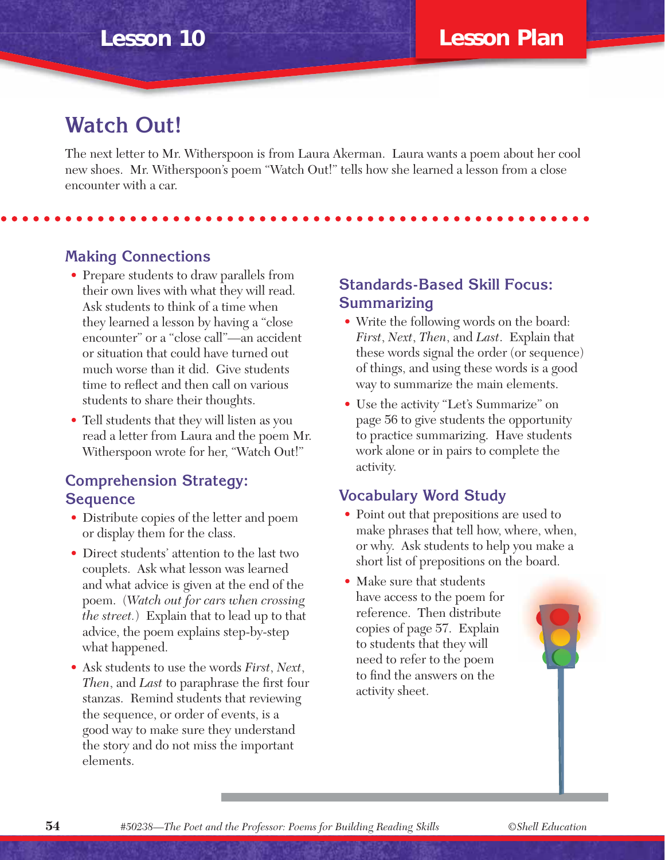### **Watch Out!**

The next letter to Mr. Witherspoon is from Laura Akerman. Laura wants a poem about her cool new shoes. Mr. Witherspoon's poem "Watch Out!" tells how she learned a lesson from a close encounter with a car.

#### **Making Connections**

- Prepare students to draw parallels from their own lives with what they will read. Ask students to think of a time when they learned a lesson by having a "close encounter" or a "close call"—an accident or situation that could have turned out much worse than it did. Give students time to reflect and then call on various students to share their thoughts.
- Tell students that they will listen as you read a letter from Laura and the poem Mr. Witherspoon wrote for her, "Watch Out!"

#### **Comprehension Strategy: Sequence**

- Distribute copies of the letter and poem or display them for the class.
- Direct students' attention to the last two couplets. Ask what lesson was learned and what advice is given at the end of the poem. (*Watch out for cars when crossing the street.*) Explain that to lead up to that advice, the poem explains step-by-step what happened.
- Ask students to use the words *First*, *Next*, *Then*, and *Last* to paraphrase the first four stanzas. Remind students that reviewing the sequence, or order of events, is a good way to make sure they understand the story and do not miss the important elements.

#### **Standards-Based Skill Focus: Summarizing**

- Write the following words on the board: *First*, *Next*, *Then*, and *Last*. Explain that these words signal the order (or sequence) of things, and using these words is a good way to summarize the main elements.
- Use the activity "Let's Summarize" on page 56 to give students the opportunity to practice summarizing. Have students work alone or in pairs to complete the activity.

#### **Vocabulary Word Study**

- Point out that prepositions are used to make phrases that tell how, where, when, or why. Ask students to help you make a short list of prepositions on the board.
- Make sure that students have access to the poem for reference. Then distribute copies of page 57. Explain to students that they will need to refer to the poem to find the answers on the activity sheet.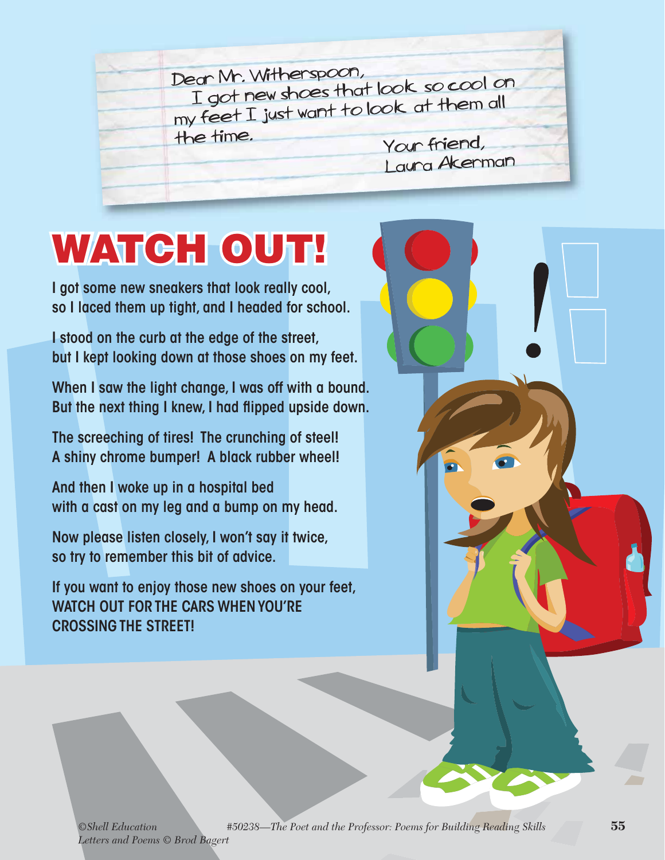Dear Mr. Witherspoon, I got new shoes that look so cool on my feet I just want to look at them all the time. Your friend, Laura Akerman

# **WATCH OUT!**

I got some new sneakers that look really cool, so I laced them up tight, and I headed for school.

I stood on the curb at the edge of the street, but I kept looking down at those shoes on my feet.

When I saw the light change, I was off with a bound. But the next thing I knew, I had flipped upside down.

The screeching of tires! The crunching of steel! A shiny chrome bumper! A black rubber wheel!

And then I woke up in a hospital bed with a cast on my leg and a bump on my head.

Now please listen closely, I won't say it twice, so try to remember this bit of advice.

If you want to enjoy those new shoes on your feet, WATCH OUT FOR THE CARS WHEN YOU'RE CROSSING THE STREET!

*©Shell Education #50238—The Poet and the Professor: Poems for Building Reading Skills* **55** *Letters and Poems © Brod Bagert*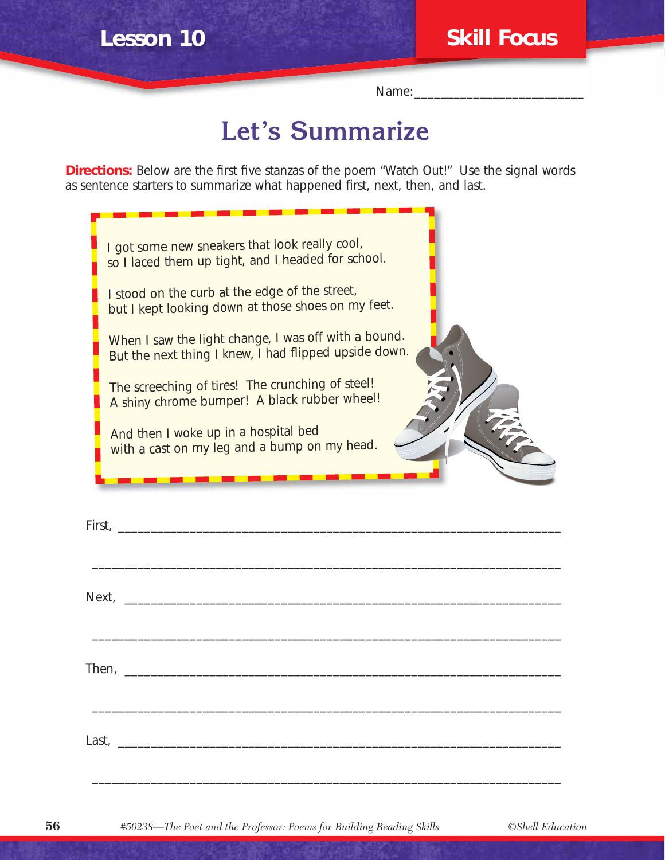Name:

## **Let's Summarize**

**Directions:** Below are the first five stanzas of the poem "Watch Out!" Use the signal words as sentence starters to summarize what happened first, next, then, and last.

| I got some new sneakers that look really cool,<br>so I laced them up tight, and I headed for school.                                                                                                                           |
|--------------------------------------------------------------------------------------------------------------------------------------------------------------------------------------------------------------------------------|
|                                                                                                                                                                                                                                |
| I stood on the curb at the edge of the street,<br>but I kept looking down at those shoes on my feet.                                                                                                                           |
| When I saw the light change, I was off with a bound.<br>But the next thing I knew, I had flipped upside down.                                                                                                                  |
| The screeching of tires! The crunching of steel!<br>A shiny chrome bumper! A black rubber wheel!                                                                                                                               |
| And then I woke up in a hospital bed<br>E<br>with a cast on my leg and a bump on my head.                                                                                                                                      |
|                                                                                                                                                                                                                                |
| -------                                                                                                                                                                                                                        |
|                                                                                                                                                                                                                                |
|                                                                                                                                                                                                                                |
|                                                                                                                                                                                                                                |
|                                                                                                                                                                                                                                |
|                                                                                                                                                                                                                                |
|                                                                                                                                                                                                                                |
| Next, 2008. The Commission of the Commission of the Commission of the Commission of the Commission of the Commission of the Commission of the Commission of the Commission of the Commission of the Commission of the Commissi |
|                                                                                                                                                                                                                                |
|                                                                                                                                                                                                                                |
|                                                                                                                                                                                                                                |
|                                                                                                                                                                                                                                |
|                                                                                                                                                                                                                                |
|                                                                                                                                                                                                                                |
|                                                                                                                                                                                                                                |

\_\_\_\_\_\_\_\_\_\_\_\_\_\_\_\_\_\_\_\_\_\_\_\_\_\_\_\_\_\_\_\_\_\_\_\_\_\_\_\_\_\_\_\_\_\_\_\_\_\_\_\_\_\_\_\_\_\_\_\_\_\_\_\_\_\_\_\_\_\_\_\_